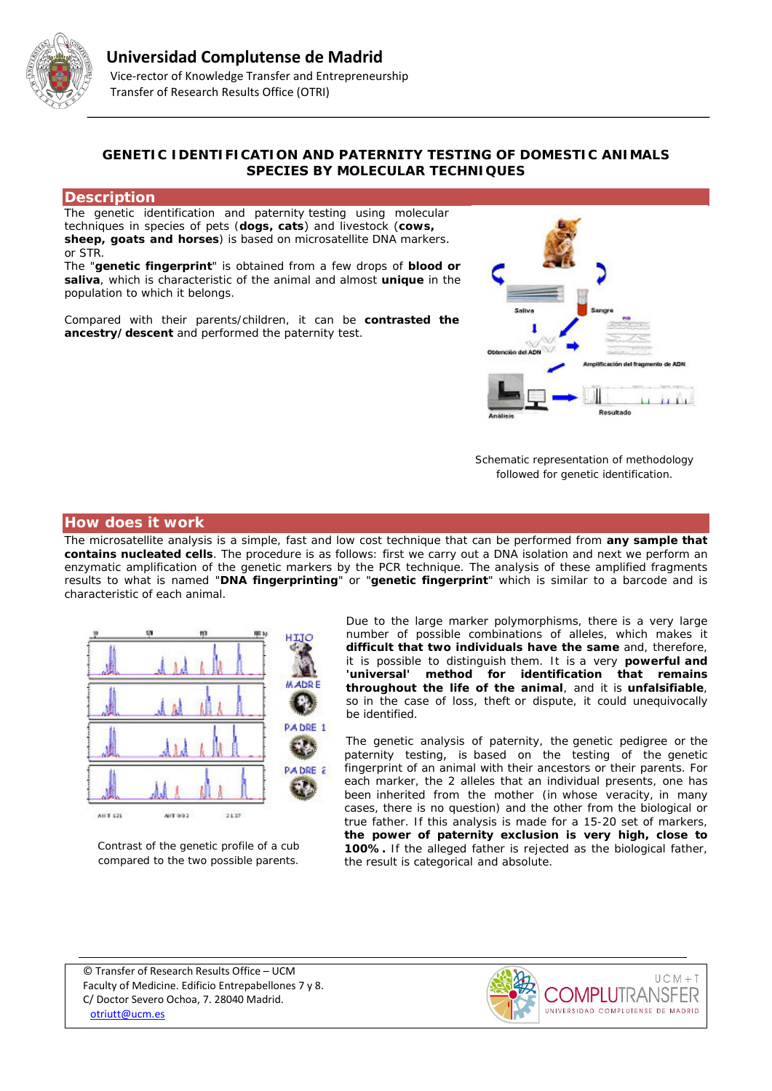

# **GENETIC IDENTIFICATION AND PATERNITY TESTING OF DOMESTIC ANIMALS SPECIES BY MOLECULAR TECHNIQUES**

#### **Description**

The genetic identification and paternity testing using molecular techniques in species of pets (**dogs, cats**) and livestock (**cows, sheep, goats and horses**) is based on microsatellite DNA markers. or STR.

The "**genetic fingerprint**" is obtained from a few drops of **blood or saliva**, which is characteristic of the animal and almost **unique** in the population to which it belongs.

Compared with their parents/children, it can be **contrasted the ancestry/descent** and performed the paternity test.



*Schematic representation of methodology followed for genetic identification.*

## **How does it work**

The microsatellite analysis is a simple, fast and low cost technique that can be performed from **any sample that contains nucleated cells**. The procedure is as follows: first we carry out a DNA isolation and next we perform an enzymatic amplification of the genetic markers by the PCR technique. The analysis of these amplified fragments results to what is named "**DNA fingerprinting**" or "**genetic fingerprint**" which is similar to a barcode and is characteristic of each animal.



*Contrast of the genetic profile of a cub compared to the two possible parents.*

Due to the large marker polymorphisms, there is a very large number of possible combinations of alleles, which makes it **difficult that two individuals have the same** and, therefore, it is possible to distinguish them. It is a very **powerful and**  'universal' method for identification that remains **throughout the life of the animal**, and it is **unfalsifiable**, so in the case of loss, theft or dispute, it could unequivocally be identified.

The genetic analysis of paternity, the genetic pedigree or the paternity testing, is based on the testing of the genetic fingerprint of an animal with their ancestors or their parents. For each marker, the 2 alleles that an individual presents, one has been inherited from the mother (in whose veracity, in many cases, there is no question) and the other from the biological or true father. If this analysis is made for a 15-20 set of markers, **the power of paternity exclusion is very high, close to 100%.** If the alleged father is rejected as the biological father, the result is categorical and absolute.

© Transfer of Research Results Office – UCM Faculty of Medicine. Edificio Entrepabellones 7 y 8. C/ Doctor Severo Ochoa, 7. 28040 Madrid. [otriutt@ucm.es](mailto:otriutt@ucm.es;genetica@vet.ucm.es?subject=GENETIC%20IDENTIFICATION%20AND%20PARENTAGE%20CONTROL%20IN%20SPECIES%20OF%20DOMESTIC%20ANIMALS%20BY%20MOLECULAR%20TECHNIQUES%C3%A7)